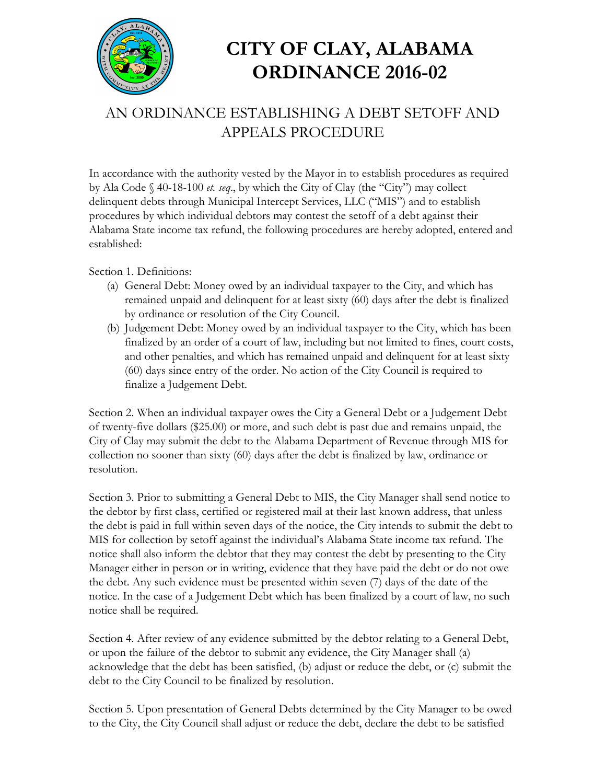

## **CITY OF CLAY, ALABAMA ORDINANCE 2016-02**

## AN ORDINANCE ESTABLISHING A DEBT SETOFF AND APPEALS PROCEDURE

In accordance with the authority vested by the Mayor in to establish procedures as required by Ala Code § 40-18-100 *et. seq*., by which the City of Clay (the "City") may collect delinquent debts through Municipal Intercept Services, LLC ("MIS") and to establish procedures by which individual debtors may contest the setoff of a debt against their Alabama State income tax refund, the following procedures are hereby adopted, entered and established:

Section 1. Definitions:

- (a) General Debt: Money owed by an individual taxpayer to the City, and which has remained unpaid and delinquent for at least sixty (60) days after the debt is finalized by ordinance or resolution of the City Council.
- (b) Judgement Debt: Money owed by an individual taxpayer to the City, which has been finalized by an order of a court of law, including but not limited to fines, court costs, and other penalties, and which has remained unpaid and delinquent for at least sixty (60) days since entry of the order. No action of the City Council is required to finalize a Judgement Debt.

Section 2. When an individual taxpayer owes the City a General Debt or a Judgement Debt of twenty-five dollars (\$25.00) or more, and such debt is past due and remains unpaid, the City of Clay may submit the debt to the Alabama Department of Revenue through MIS for collection no sooner than sixty (60) days after the debt is finalized by law, ordinance or resolution.

Section 3. Prior to submitting a General Debt to MIS, the City Manager shall send notice to the debtor by first class, certified or registered mail at their last known address, that unless the debt is paid in full within seven days of the notice, the City intends to submit the debt to MIS for collection by setoff against the individual's Alabama State income tax refund. The notice shall also inform the debtor that they may contest the debt by presenting to the City Manager either in person or in writing, evidence that they have paid the debt or do not owe the debt. Any such evidence must be presented within seven (7) days of the date of the notice. In the case of a Judgement Debt which has been finalized by a court of law, no such notice shall be required.

Section 4. After review of any evidence submitted by the debtor relating to a General Debt, or upon the failure of the debtor to submit any evidence, the City Manager shall (a) acknowledge that the debt has been satisfied, (b) adjust or reduce the debt, or (c) submit the debt to the City Council to be finalized by resolution.

Section 5. Upon presentation of General Debts determined by the City Manager to be owed to the City, the City Council shall adjust or reduce the debt, declare the debt to be satisfied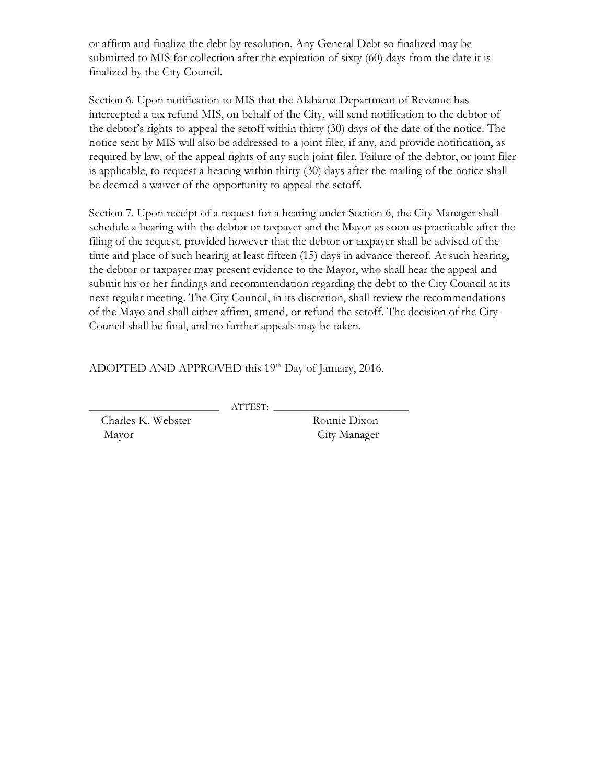or affirm and finalize the debt by resolution. Any General Debt so finalized may be submitted to MIS for collection after the expiration of sixty (60) days from the date it is finalized by the City Council.

Section 6. Upon notification to MIS that the Alabama Department of Revenue has intercepted a tax refund MIS, on behalf of the City, will send notification to the debtor of the debtor's rights to appeal the setoff within thirty (30) days of the date of the notice. The notice sent by MIS will also be addressed to a joint filer, if any, and provide notification, as required by law, of the appeal rights of any such joint filer. Failure of the debtor, or joint filer is applicable, to request a hearing within thirty (30) days after the mailing of the notice shall be deemed a waiver of the opportunity to appeal the setoff.

Section 7. Upon receipt of a request for a hearing under Section 6, the City Manager shall schedule a hearing with the debtor or taxpayer and the Mayor as soon as practicable after the filing of the request, provided however that the debtor or taxpayer shall be advised of the time and place of such hearing at least fifteen (15) days in advance thereof. At such hearing, the debtor or taxpayer may present evidence to the Mayor, who shall hear the appeal and submit his or her findings and recommendation regarding the debt to the City Council at its next regular meeting. The City Council, in its discretion, shall review the recommendations of the Mayo and shall either affirm, amend, or refund the setoff. The decision of the City Council shall be final, and no further appeals may be taken.

ADOPTED AND APPROVED this 19<sup>th</sup> Day of January, 2016.

\_\_\_\_\_\_\_\_\_\_\_\_\_\_\_\_\_\_\_\_\_\_\_\_\_\_\_ ATTEST: \_\_\_\_\_\_\_\_\_\_\_\_\_\_\_\_\_\_\_\_\_\_\_\_\_\_\_\_

Charles K. Webster Ronnie Dixon Mayor City Manager